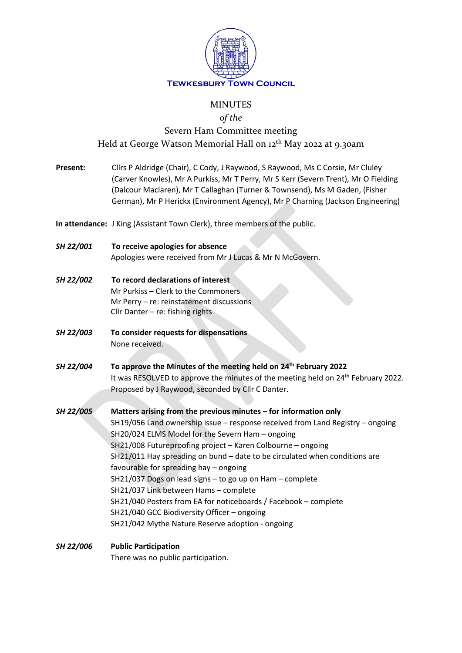

## MINUTES

*of the*

# Severn Ham Committee meeting Held at George Watson Memorial Hall on 12<sup>th</sup> May 2022 at 9.30am

**Present:** Cllrs P Aldridge (Chair), C Cody, J Raywood, S Raywood, Ms C Corsie, Mr Cluley (Carver Knowles), Mr A Purkiss, Mr T Perry, Mr S Kerr (Severn Trent), Mr O Fielding (Dalcour Maclaren), Mr T Callaghan (Turner & Townsend), Ms M Gaden, (Fisher German), Mr P Herickx (Environment Agency), Mr P Charning (Jackson Engineering) **In attendance:** J King (Assistant Town Clerk), three members of the public. *SH 22/001* **To receive apologies for absence** Apologies were received from Mr J Lucas & Mr N McGovern. *SH 22/002* **To record declarations of interest** Mr Purkiss – Clerk to the Commoners Mr Perry – re: reinstatement discussions Cllr Danter – re: fishing rights *SH 22/003* **To consider requests for dispensations** None received. *SH 22/004* **To approve the Minutes of the meeting held on 24th February 2022** It was RESOLVED to approve the minutes of the meeting held on 24<sup>th</sup> February 2022. Proposed by J Raywood, seconded by Cllr C Danter. *SH 22/005* **Matters arising from the previous minutes – for information only** SH19/056 Land ownership issue – response received from Land Registry – ongoing SH20/024 ELMS Model for the Severn Ham – ongoing SH21/008 Futureproofing project – Karen Colbourne – ongoing SH21/011 Hay spreading on bund – date to be circulated when conditions are favourable for spreading hay – ongoing SH21/037 Dogs on lead signs – to go up on Ham – complete SH21/037 Link between Hams – complete SH21/040 Posters from EA for noticeboards / Facebook – complete SH21/040 GCC Biodiversity Officer – ongoing SH21/042 Mythe Nature Reserve adoption - ongoing *SH 22/006* **Public Participation**

There was no public participation.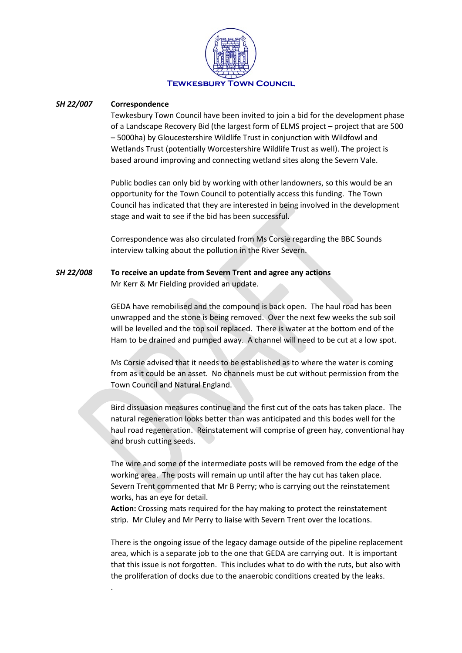

#### *SH 22/007* **Correspondence**

.

Tewkesbury Town Council have been invited to join a bid for the development phase of a Landscape Recovery Bid (the largest form of ELMS project – project that are 500 – 5000ha) by Gloucestershire Wildlife Trust in conjunction with Wildfowl and Wetlands Trust (potentially Worcestershire Wildlife Trust as well). The project is based around improving and connecting wetland sites along the Severn Vale.

Public bodies can only bid by working with other landowners, so this would be an opportunity for the Town Council to potentially access this funding. The Town Council has indicated that they are interested in being involved in the development stage and wait to see if the bid has been successful.

Correspondence was also circulated from Ms Corsie regarding the BBC Sounds interview talking about the pollution in the River Severn.

## *SH 22/008* **To receive an update from Severn Trent and agree any actions** Mr Kerr & Mr Fielding provided an update.

GEDA have remobilised and the compound is back open. The haul road has been unwrapped and the stone is being removed. Over the next few weeks the sub soil will be levelled and the top soil replaced. There is water at the bottom end of the Ham to be drained and pumped away. A channel will need to be cut at a low spot.

Ms Corsie advised that it needs to be established as to where the water is coming from as it could be an asset. No channels must be cut without permission from the Town Council and Natural England.

Bird dissuasion measures continue and the first cut of the oats has taken place. The natural regeneration looks better than was anticipated and this bodes well for the haul road regeneration. Reinstatement will comprise of green hay, conventional hay and brush cutting seeds.

The wire and some of the intermediate posts will be removed from the edge of the working area. The posts will remain up until after the hay cut has taken place. Severn Trent commented that Mr B Perry; who is carrying out the reinstatement works, has an eye for detail.

**Action:** Crossing mats required for the hay making to protect the reinstatement strip. Mr Cluley and Mr Perry to liaise with Severn Trent over the locations.

There is the ongoing issue of the legacy damage outside of the pipeline replacement area, which is a separate job to the one that GEDA are carrying out. It is important that this issue is not forgotten. This includes what to do with the ruts, but also with the proliferation of docks due to the anaerobic conditions created by the leaks.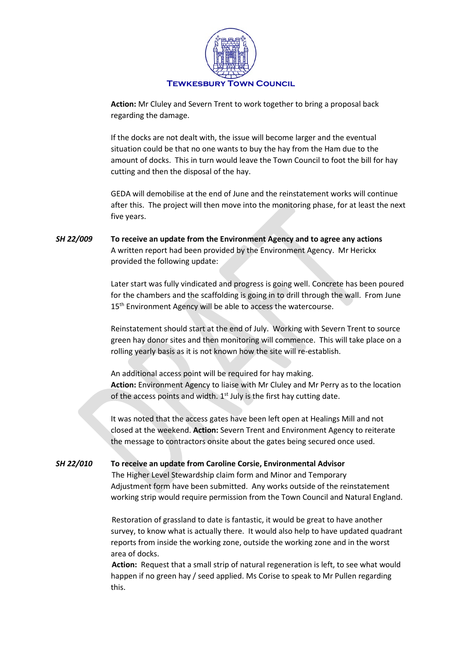

**Action:** Mr Cluley and Severn Trent to work together to bring a proposal back regarding the damage.

If the docks are not dealt with, the issue will become larger and the eventual situation could be that no one wants to buy the hay from the Ham due to the amount of docks. This in turn would leave the Town Council to foot the bill for hay cutting and then the disposal of the hay.

GEDA will demobilise at the end of June and the reinstatement works will continue after this. The project will then move into the monitoring phase, for at least the next five years.

## *SH 22/009* **To receive an update from the Environment Agency and to agree any actions**  A written report had been provided by the Environment Agency. Mr Herickx provided the following update:

Later start was fully vindicated and progress is going well. Concrete has been poured for the chambers and the scaffolding is going in to drill through the wall. From June 15<sup>th</sup> Environment Agency will be able to access the watercourse.

Reinstatement should start at the end of July. Working with Severn Trent to source green hay donor sites and then monitoring will commence. This will take place on a rolling yearly basis as it is not known how the site will re-establish.

An additional access point will be required for hay making. **Action:** Environment Agency to liaise with Mr Cluley and Mr Perry as to the location of the access points and width.  $1<sup>st</sup>$  July is the first hay cutting date.

It was noted that the access gates have been left open at Healings Mill and not closed at the weekend. **Action:** Severn Trent and Environment Agency to reiterate the message to contractors onsite about the gates being secured once used.

## *SH 22/010* **To receive an update from Caroline Corsie, Environmental Advisor**

The Higher Level Stewardship claim form and Minor and Temporary Adjustment form have been submitted. Any works outside of the reinstatement working strip would require permission from the Town Council and Natural England.

Restoration of grassland to date is fantastic, it would be great to have another survey, to know what is actually there. It would also help to have updated quadrant reports from inside the working zone, outside the working zone and in the worst area of docks.

**Action:** Request that a small strip of natural regeneration is left, to see what would happen if no green hay / seed applied. Ms Corise to speak to Mr Pullen regarding this.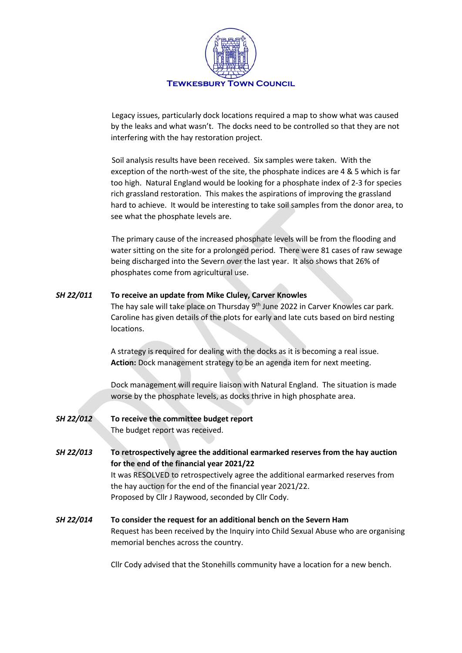

Legacy issues, particularly dock locations required a map to show what was caused by the leaks and what wasn't. The docks need to be controlled so that they are not interfering with the hay restoration project.

Soil analysis results have been received. Six samples were taken. With the exception of the north-west of the site, the phosphate indices are 4 & 5 which is far too high. Natural England would be looking for a phosphate index of 2-3 for species rich grassland restoration. This makes the aspirations of improving the grassland hard to achieve. It would be interesting to take soil samples from the donor area, to see what the phosphate levels are.

The primary cause of the increased phosphate levels will be from the flooding and water sitting on the site for a prolonged period. There were 81 cases of raw sewage being discharged into the Severn over the last year. It also shows that 26% of phosphates come from agricultural use.

## *SH 22/011* **To receive an update from Mike Cluley, Carver Knowles**

The hay sale will take place on Thursday 9<sup>th</sup> June 2022 in Carver Knowles car park. Caroline has given details of the plots for early and late cuts based on bird nesting locations.

A strategy is required for dealing with the docks as it is becoming a real issue. **Action:** Dock management strategy to be an agenda item for next meeting.

Dock management will require liaison with Natural England. The situation is made worse by the phosphate levels, as docks thrive in high phosphate area.

- *SH 22/012* **To receive the committee budget report** The budget report was received.
- *SH 22/013* **To retrospectively agree the additional earmarked reserves from the hay auction for the end of the financial year 2021/22** It was RESOLVED to retrospectively agree the additional earmarked reserves from the hay auction for the end of the financial year 2021/22. Proposed by Cllr J Raywood, seconded by Cllr Cody.
- *SH 22/014* **To consider the request for an additional bench on the Severn Ham** Request has been received by the Inquiry into Child Sexual Abuse who are organising memorial benches across the country.

Cllr Cody advised that the Stonehills community have a location for a new bench.